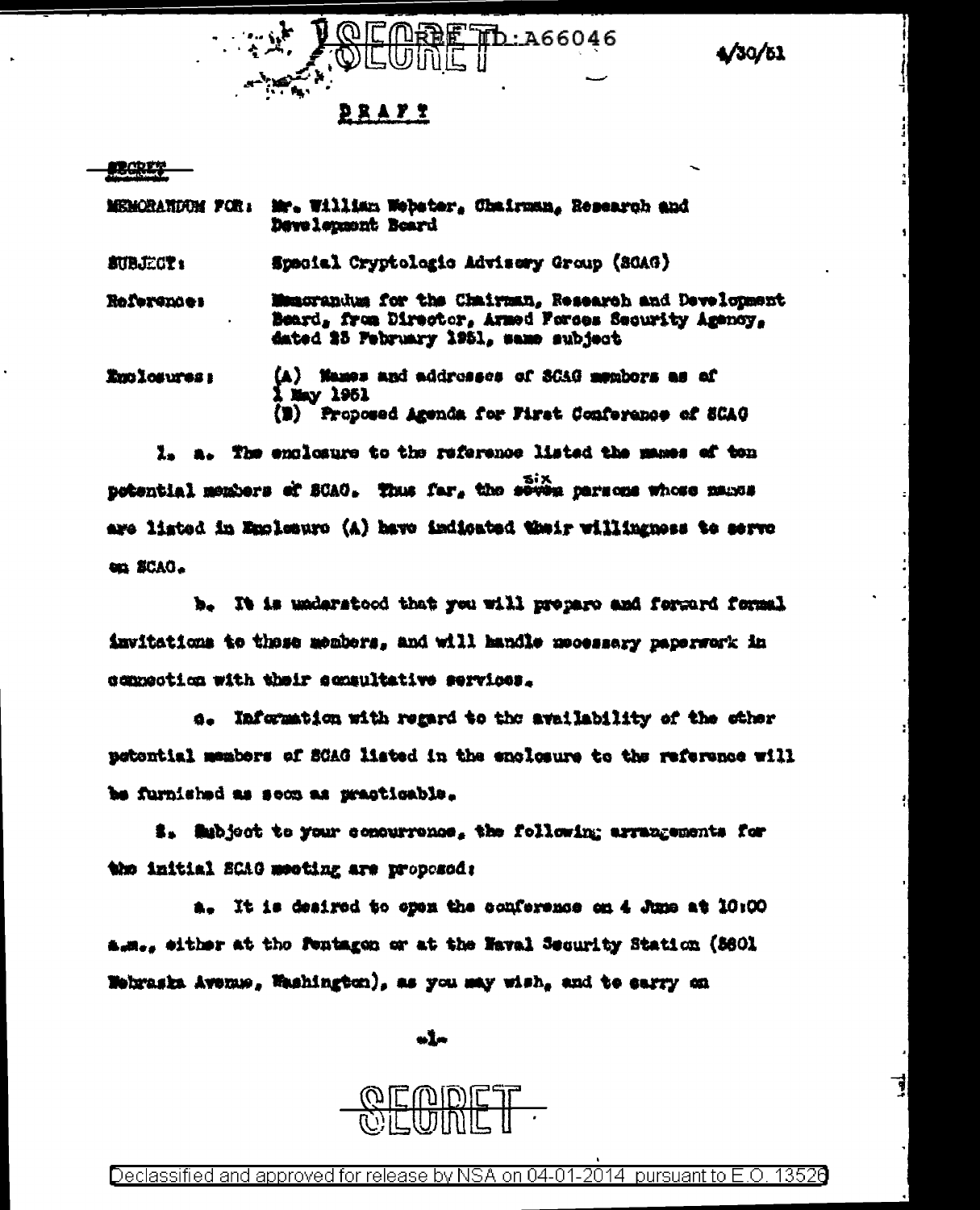/30/61



|             | MEMORANDUM FOR: Mr. William Webster, Chairman, Research and<br>Development Board                                                                     |
|-------------|------------------------------------------------------------------------------------------------------------------------------------------------------|
| SUBJECT:    | Spacial Cryptologic Advisory Group (SCAG)                                                                                                            |
| References  | Muncrandus for the Chairman, Research and Development<br>Beard, from Director, Armed Forces Security Agency,<br>dated 25 February 1951, same subject |
| Enclosures: | (A) Names and addresses of SCAG members as of<br>1 May 1951<br>(B) Proposed Agenda for First Conference of SCAO                                      |

I. a. The enclosure to the reference listed the manes of ton potential members of SCAG. Thus far, the seven parsons whose manus are listed in Emplosure (A) have indicated thair willingness to serve en SCAO.

b. It is understood that you will propero and forgard formal invitations to those members, and will handle mecessary paperwork in commodica with their commultative services.

a. Information with regard to the availability of the other petential members of SCAG listed in the enclosure to the reference will be furnished as soon as practicable.

i. Mubject to your concurrence, the following arrangements for the initial SCAG meeting are proposed:

a. It is desired to open the conference on 4 June at 10:00 a.m., either at the Fentagen or at the Naval Security Station (8601 Webraska Avenue, Washington), as you may wish, and to earry on

ele

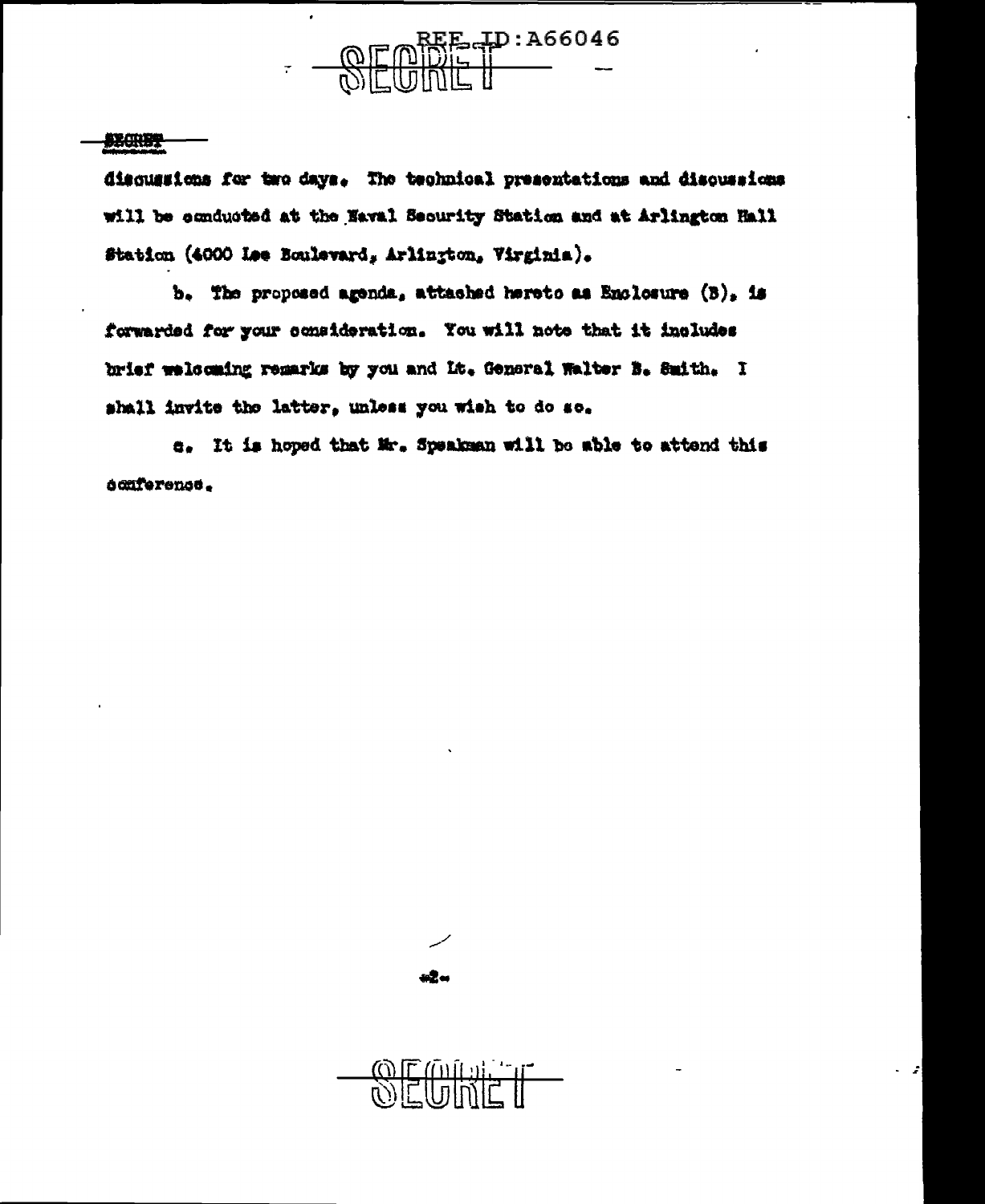

## **SECRET**

discussions for two days. The technical presentations and discussions will be conducted at the Naval Security Station and at Arlington Hall Station (4000 Lee Boulevard, Arlington, Virginia).

b. The proposed agenda, attached hereto as Enclosure  $(3)_2$  is forwarded for your consideration. You will note that it includes brief welcoming remarks by you and It. General Walter B. Smith. I shall invite the latter, unless you wish to do so.

e. It is hoped that Mr. Speaksan will be able to attend this ocaference.





z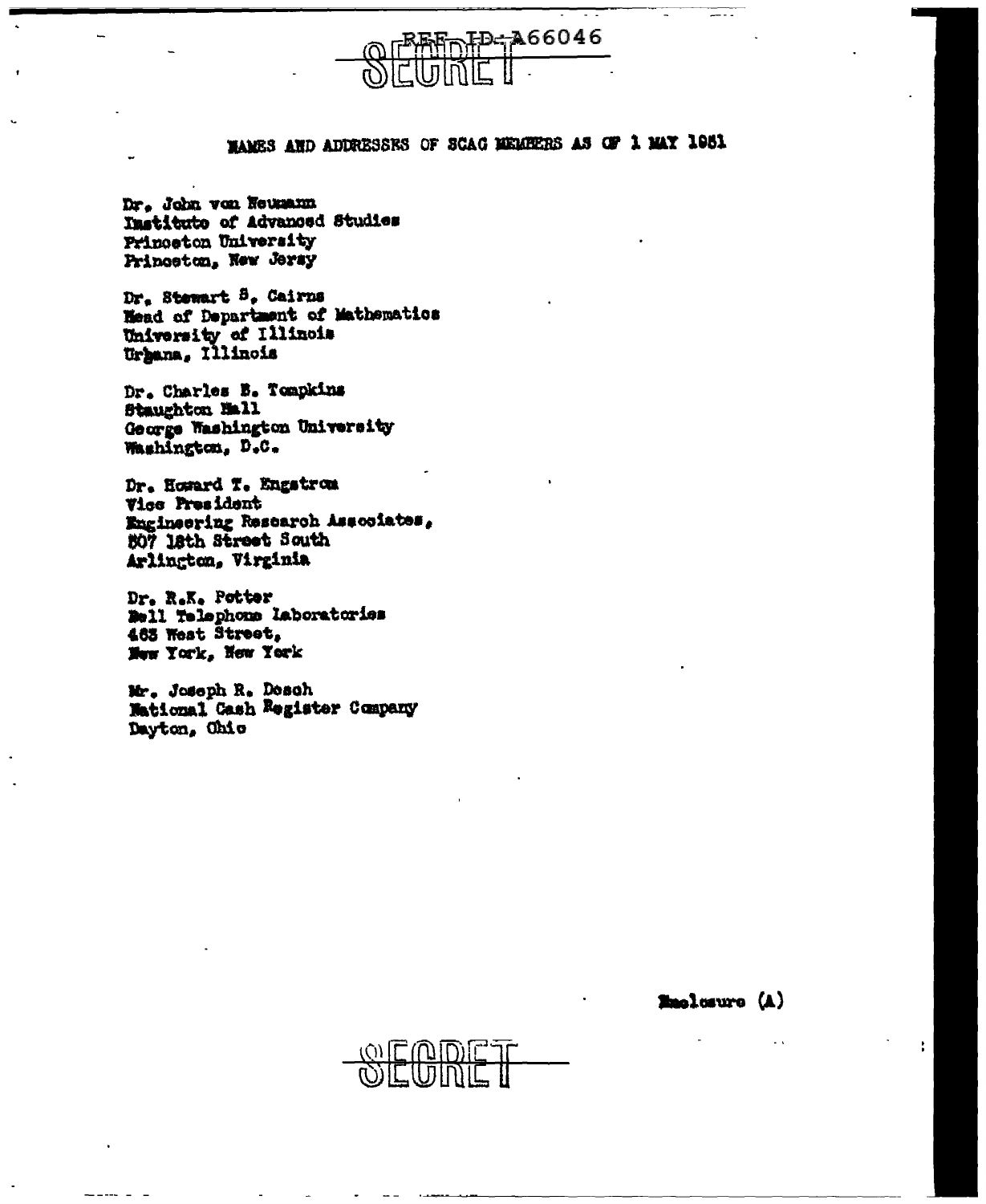

## WAMES AND ADDRESSES OF SCAC MEMBERS AS OF 1 MAY 1981

Dr. John von Neumann Institute of Advanced Studies Princeton University Princeton, New Jersy

Dr. Stewart 5. Cairns Head of Department of Mathematics University of Illinois Urgana, Illinois

Dr. Charles B. Tompkins Staughton Mall George Washington University Washington, D.C.

Dr. Howard T. Engstrom Vice President Engineering Research Associates, 507 18th Street South Arlington, Virginia

Dr. R.K. Potter Bell Telephone Laboratories 463 West Street, New York, New York

Mr. Joseph R. Desch National Cash Register Company Dayton, Ohio

**Emolosuro** (A)

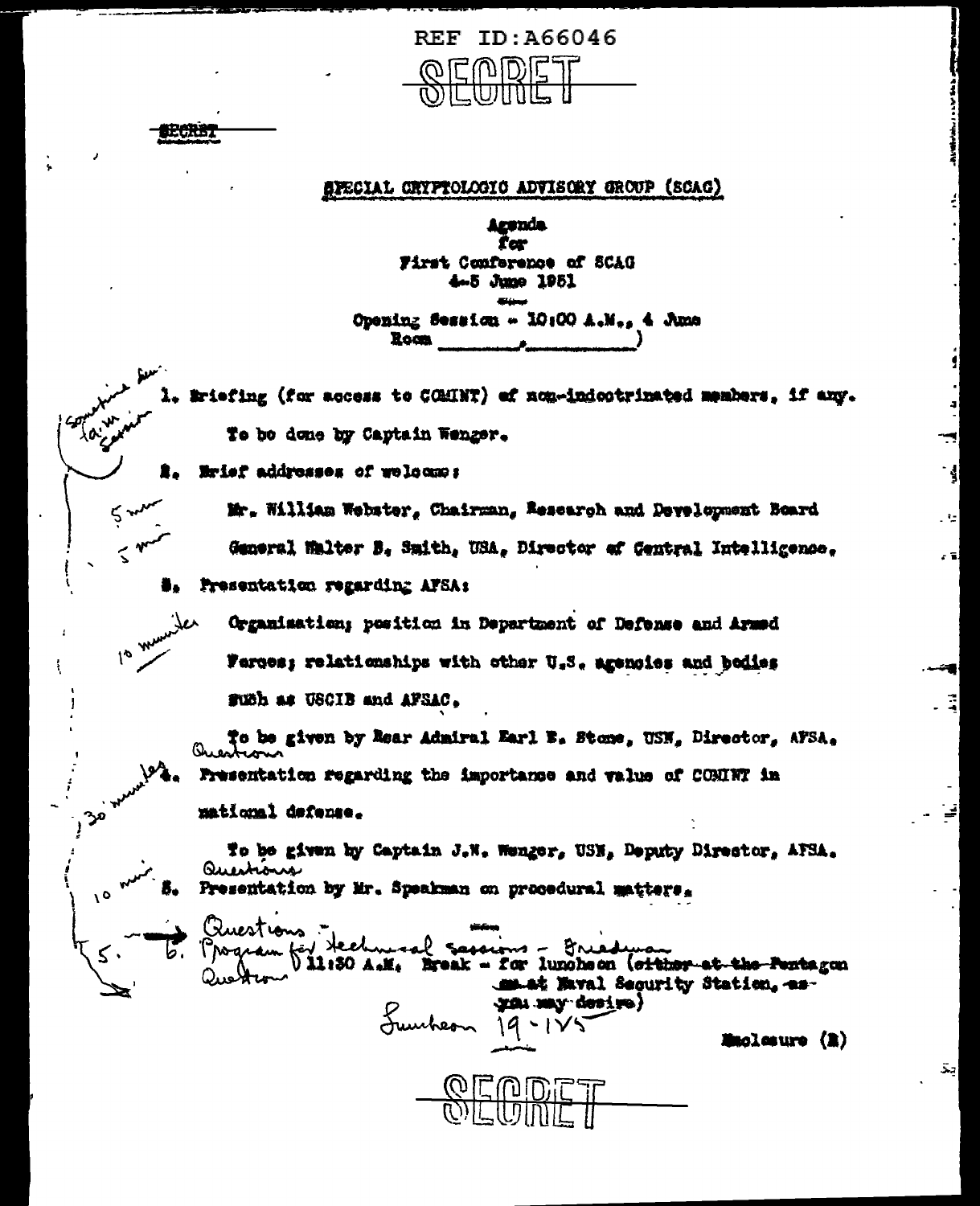

## SPECIAL CRYPTOLOGIC ADVISORY GROUP (SCAC)

Aronda for First Conference of SCAG 4.5 June 1951

Opening Session - 10:00 A.M., 4 Ame **Room** 

Briefing (for access to COMINT) of non-indectrinated members, if any. To be done by Captain Wenger.

Erief addresses of welcome:

的复数形式

ς

 $\frac{1}{6}$  w

مر

Mr. William Webster, Chairman, Research and Development Board General Malter B. Smith, USA, Director of Central Intelligence.

Presentation regarding AFSA:

Organisation; position in Department of Defense and Armed Ferces; relationships with other U.S. agencies and bodies such as USCIB and AFSAC.

To be given by Rear Admiral Earl B. Stone, USN, Director, AFSA. Presentation regarding the importance and value of CONINT in matiqual defense.

To be given by Captain J.W. Wenger, USN. Deputy Director, AFSA. Questions Presentation by Mr. Speakman on procedural matters.

Priestions . ۔ صہ Vil:30 A.M. Break - for luncheon (otther at the Pentagon smat Maval Security Station, asgran may desire) Sumbern 19-125

Muolesure (R)

 $\overline{\mathbf{S}}$ 

Иg.

(ءَ م

÷,

انک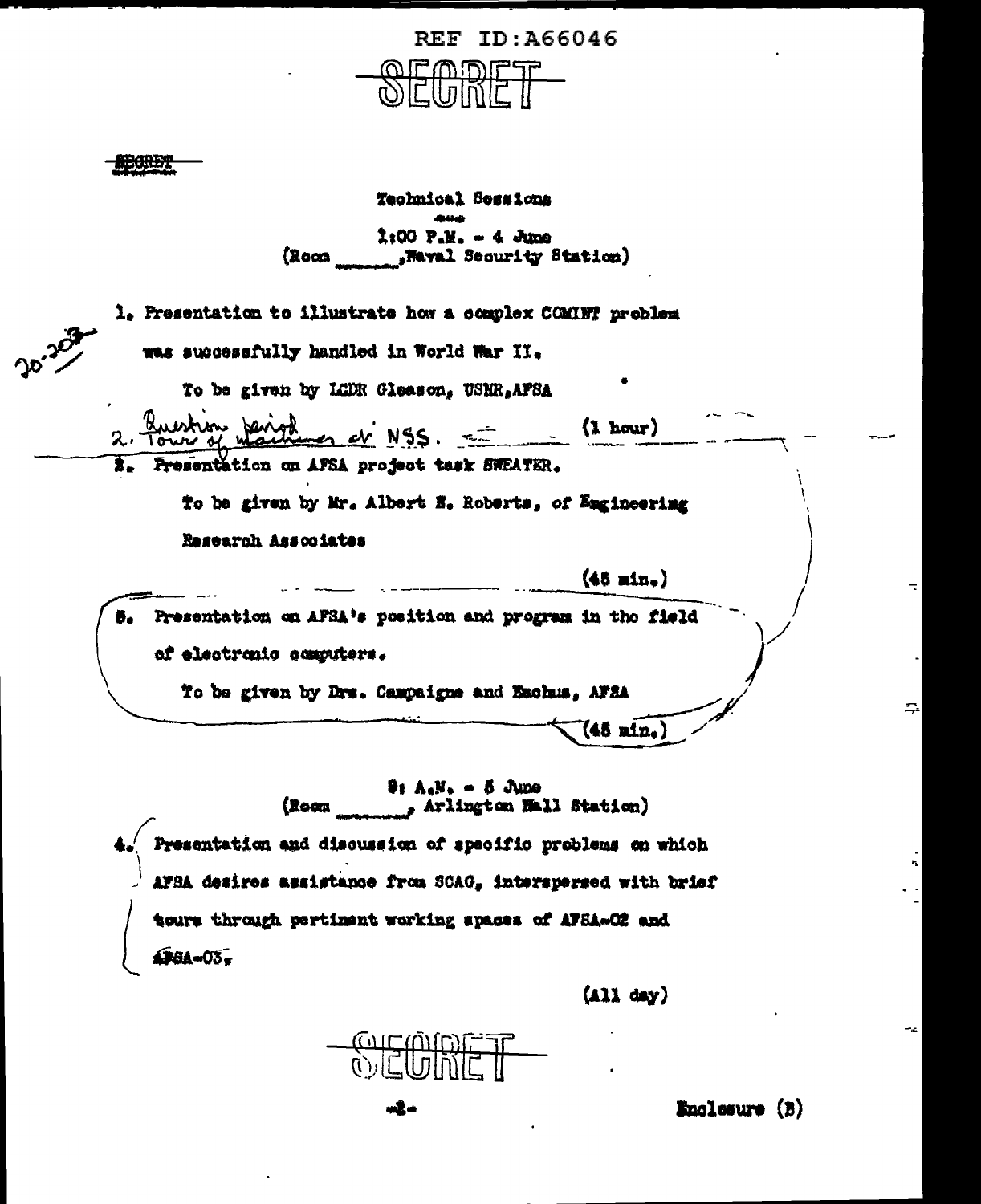

**BOREY!** 

ኅ

Technical Sessions  $2:00$   $P-M_0 = 4$  June (Room "Wayal Security Station)

| was successfully handled in World War II.                |
|----------------------------------------------------------|
| To be given by LCDR Gleason, USNR, AFSA                  |
| Question Jenight er NSS.<br>(1 hour)                     |
| 2. Fresentation on AFSA project task SWEATER.            |
| To be given by Mr. Albert E. Roberts, of Engineering     |
| Research Associates                                      |
| $(45 \text{ min.})$                                      |
| Presentation on AFSA's position and program in the field |
| of electronic computers.                                 |
| To be given by Drs. Campaigne and Eschus, AFSA           |
| $(45 \text{ m/n}_*)$                                     |

Presentation and discussion of specific problems on which AFBA desires assistance from SCAG, interspersed with brief tours through pertinent working spaces of AFSA-O2 and 4P8A-03,

 $(422 \text{ day})$ 

laluw<br>1910 त)<br>पुरो

n2-

Enclosure (B)

÷,

 $\sim$